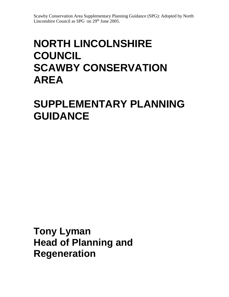# **NORTH LINCOLNSHIRE COUNCIL SCAWBY CONSERVATION AREA**

# **SUPPLEMENTARY PLANNING GUIDANCE**

**Tony Lyman Head of Planning and Regeneration**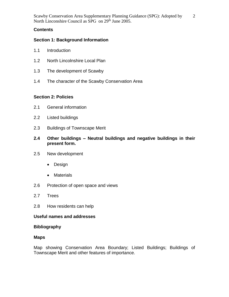2

## **Contents**

## **Section 1: Background Information**

- 1.1 Introduction
- 1.2 North Lincolnshire Local Plan
- 1.3 The development of Scawby
- 1.4 The character of the Scawby Conservation Area

## **Section 2: Policies**

- 2.1 General information
- 2.2 Listed buildings
- 2.3 Buildings of Townscape Merit
- **2.4 Other buildings – Neutral buildings and negative buildings in their present form.**
- 2.5 New development
	- Design
	- Materials
- 2.6 Protection of open space and views
- 2.7 Trees
- 2.8 How residents can help

#### **Useful names and addresses**

#### **Bibliography**

#### **Maps**

Map showing Conservation Area Boundary; Listed Buildings; Buildings of Townscape Merit and other features of importance.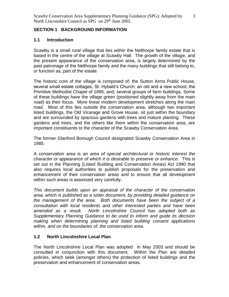3

## **SECTION 1 BACKGROUND INFORMATION**

## **1.1 Introduction**

Scawby is a small rural village that lies within the Nelthorpe family estate that is based in the centre of the village at Scawby Hall. The growth of the village, and the present appearance of the conservation area, is largely determined by the past patronage of the Nelthorpe family and the many buildings that still belong to, or function as, part of the estate.

The historic core of the village is composed of; the Sutton Arms Public House, several small estate cottages, St. Hybald's Church; an old and a new school; the Primitive Methodist Chapel of 1895, and; several groups of farm buildings. Some of these buildings have the village green (positioned slightly away from the main road) as their focus. More linear modern development stretches along the main road. Most of this lies outside the conservation area, although two important listed buildings, the Old Vicarage and Grove House, sit just within the boundary and are surrounded by spacious gardens with trees and mature planting. These gardens and trees, and the others like them within the conservation area, are important constituents to the character of the Scawby Conservation Area.

The former Glanford Borough Council designated Scawby Conservation Area in 1985.

A conservation area is *an area of special architectural or historic interest the character or appearance of which it is desirable to preserve or enhance.* This is set out in the Planning (Listed Building and Conservation Areas) Act 1990 that also requires local authorities to publish proposals for the preservation and enhancement of their conservation areas and to ensure that all development within such areas is assessed very carefully.

*This document builds upon an appraisal of the character of the conservation area, which is published as a sister document, by providing detailed guidance on the management of the area. Both documents have been the subject of a consultation with local residents and other interested parties and have been amended as a result. North Lincolnshire Council has adopted both as Supplementary Planning Guidance to be used to inform and guide its decision making when determining planning and listed building consent applications within, and on the boundaries of, the conservation area.*

## **1.2 North Lincolnshire Local Plan**

The North Lincolnshire Local Plan was adopted in May 2003 and should be consulted in conjunction with this document. Within the Plan are detailed policies, which seek (amongst others) the protection of listed buildings and the preservation and enhancement of conservation areas.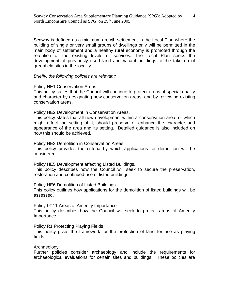Scawby is defined as a minimum growth settlement in the Local Plan where the building of single or very small groups of dwellings only will be permitted in the main body of settlement and a healthy rural economy is promoted through the retention of the existing levels of services. The Local Plan seeks the development of previously used land and vacant buildings to the take up of greenfield sites in the locality.

#### *Briefly, the following policies are relevant:*

Policy HE1 Conservation Areas.

This policy states that the Council will continue to protect areas of special quality and character by designating new conservation areas, and by reviewing existing conservation areas.

Policy HE2 Development in Conservation Areas.

This policy states that all new development within a conservation area, or which might affect the setting of it, should preserve or enhance the character and appearance of the area and its setting. Detailed guidance is also included on how this should be achieved.

Policy HE3 Demolition in Conservation Areas.

This policy provides the criteria by which applications for demolition will be considered.

Policy HE5 Development affecting Listed Buildings.

This policy describes how the Council will seek to secure the preservation, restoration and continued use of listed buildings.

Policy HE6 Demolition of Listed Buildings

This policy outlines how applications for the demolition of listed buildings will be assessed.

Policy LC11 Areas of Amenity Importance

This policy describes how the Council will seek to protect areas of Amenity Importance.

Policy R1 Protecting Playing Fields

This policy gives the framework for the protection of land for use as playing fields.

#### Archaeology.

Further policies consider archaeology and include the requirements for archaeological evaluations for certain sites and buildings. These policies are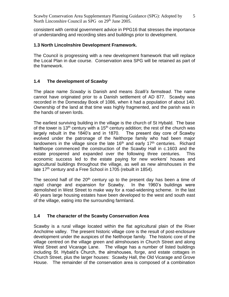consistent with central government advice in PPG16 that stresses the importance of understanding and recording sites and buildings prior to development.

## **1.3 North Lincolnshire Development Framework.**

The Council is progressing with a new development framework that will replace the Local Plan in due course. Conservation area SPG will be retained as part of the framework.

## **1.4 The development of Scawby**

The place name *Scwaby* is Danish and means *Scalli's farmstead*. The name cannot have originated prior to a Danish settlement of AD 877. Scawby was recorded in the Domesday Book of 1086, when it had a population of about 140. Ownership of the land at that time was highly fragmented, and the parish was in the hands of seven lords.

The earliest surviving building in the village is the church of St Hybald. The base of the tower is 13<sup>th</sup> century with a 15<sup>th</sup> century addition; the rest of the church was largely rebuilt in the 1840's and in 1870. The present day core of Scawby evolved under the patronage of the Nelthorpe family who had been major landowners in the village since the late  $16<sup>th</sup>$  and early  $17<sup>th</sup>$  centuries. Richard Nelthorpe commenced the construction of the Scawby Hall in c.1603 and the estate prospered and expanded over the following three centuries. This economic success led to the estate paying for new workers' houses and agricultural buildings throughout the village, as well as new almshouses in the late 17<sup>th</sup> century and a Free School in 1705 (rebuilt in 1854).

The second half of the  $20<sup>th</sup>$  century up to the present day has been a time of rapid change and expansion for Scawby. In the 1960's buildings were demolished in West Street to make way for a road-widening scheme. In the last 40 years large housing estates have been developed to the west and south east of the village, eating into the surrounding farmland.

## **1.4 The character of the Scawby Conservation Area**

Scawby is a rural village located within the flat agricultural plain of the River Ancholme valley. The present historic village core is the result of post-enclosure development under the auspices of the Nelthorpe family. The historic core of the village centred on the village green and almshouses in Church Street and along West Street and Vicarage Lane. The village has a number of listed buildings including St. Hybald's Church, the almshouses, forge, and estate cottages in Church Street, plus the larger houses: Scawby Hall, the Old Vicarage and Grove House. The remainder of the conservation area is composed of a combination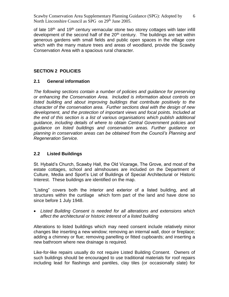of late  $18<sup>th</sup>$  and  $19<sup>th</sup>$  century vernacular stone two storey cottages with later infill development of the second half of the  $20<sup>th</sup>$  century. The buildings are set within generous gardens with small fields and public open spaces in the village core which with the many mature trees and areas of woodland, provide the Scawby Conservation Area with a spacious rural character.

## **SECTION 2 POLICIES**

#### **2.1 General information**

*The following sections contain a number of policies and guidance for preserving or enhancing the Conservation Area. Included is information about controls on*  listed building and about improving buildings that contribute positively to the *character of the conservation area. Further sections deal with the design of new development, and the protection of important views and focal points. Included at the end of this section is a list of various organisations which publish additional guidance, including details of where to obtain Central Government policies and guidance on listed buildings and conservation areas. Further guidance on planning in conservation areas can be obtained from the Council's Planning and Regeneration Service.*

#### **2.2 Listed Buildings**

St. Hybald's Church, Scawby Hall, the Old Vicarage, The Grove, and most of the estate cottages, school and almshouses are included on the Department of Culture, Media and Sport's List of Buildings of Special Architectural or Historic Interest. These buildings are identified on the map.

"Listing" covers both the interior and exterior of a listed building, and all structures within the curtilage which form part of the land and have done so since before 1 July 1948.

 *Listed Building Consent is needed for all alterations and extensions which affect the architectural or historic interest of a listed building*

Alterations to listed buildings which may need consent include relatively minor changes like inserting a new window; removing an internal wall, door or fireplace; adding a chimney or flue; removing panelling or fitted cupboards; and inserting a new bathroom where new drainage is required.

Like-for-like repairs usually do not require Listed Building Consent. Owners of such buildings should be encouraged to use traditional materials for roof repairs including lead for flashings and pantiles, clay tiles (or occasionally slate) for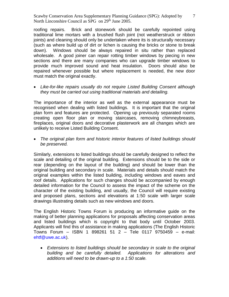roofing repairs. Brick and stonework should be carefully repointed using traditional lime mortars with a brushed flush joint (not weatherstruck or ribbon joints) and cleaning should only be undertaken where its is structurally necessary (such as where build up of dirt or lichen is causing the bricks or stone to break down). Windows should be always repaired in situ rather than replaced wholesale. A good joiner can repair rotting timber windows by piecing in new sections and there are many companies who can upgrade timber windows to provide much improved sound and heat insulation. Doors should also be repaired whenever possible but where replacement is needed, the new door must match the original exactly.

 *Like-for-like repairs usually do not require Listed Building Consent although they must be carried out using traditional materials and detailing.*

The importance of the interior as well as the external appearance must be recognised when dealing with listed buildings. It is important that the original plan form and features are protected. Opening up previously separated rooms creating open floor plan or moving staircases, removing chimneybreasts, fireplaces, original doors and decorative plasterwork are all changes which are unlikely to receive Listed Building Consent.

 *The original plan form and historic interior features of listed buildings should be preserved.*

Similarly, extensions to listed buildings should be carefully designed to reflect the scale and detailing of the original building. Extensions should be to the side or rear (depending on the layout of the building) and should be lower than the original building and secondary in scale. Materials and details should match the original examples within the listed building, including windows and eaves and roof details. Applications for such changes should be accompanied by enough detailed information for the Council to assess the impact of the scheme on the character of the existing building, and usually, the Council will require existing and proposed plans, sections and elevations at 1:50 scale with larger scale drawings illustrating details such as new windows and doors.

The English Historic Towns Forum is producing an informative guide on the making of better planning applications for proposals affecting conservation areas and listed buildings which is copyright to that body until October 2003. Applicants will find this of assistance in making applications (The English Historic Towns Forum – ISBN 1 898261 51 2 – Tele 0117 9750459 – e-mail: [ehtf@uwe.ac.uk\)](mailto:ehtf@uwe.ac.uk).

 *Extensions to listed buildings should be secondary in scale to the original building and be carefully detailed. Applications for alterations and additions will need to be drawn-up to a 1:50 scale.*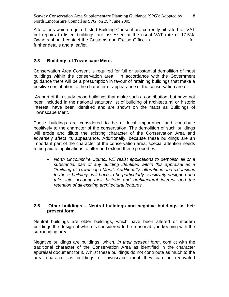Alterations which require Listed Building Consent are currently nil rated for VAT but repairs to listed buildings are assessed at the usual VAT rate of 17.5%. Owners should contact the Customs and Excise Office in for for further details and a leaflet.

#### **2.3 Buildings of Townscape Merit.**

Conservation Area Consent is required for full or substantial demolition of most buildings within the conservation area. In accordance with the Government guidance there will be a presumption in favour of retaining buildings that make a positive contribution to the character or appearance of the conservation area.

As part of this study those buildings that make such a contribution, but have not been included in the national statutory list of building of architectural or historic interest, have been identified and are shown on the maps as Buildings of Townscape Merit.

These buildings are considered to be of local importance and contribute positively to the character of the conservation. The demolition of such buildings will erode and dilute the existing character of the Conservation Area and adversely affect its appearance. Additionally, because these buildings are an important part of the character of the conservation area, special attention needs to be paid to applications to alter and extend these properties.

 *North Lincolnshire Council will resist applications to demolish all or a substantial part of any building identified within this appraisal as a "Building of Townscape Merit". Additionally, alterations and extensions to these buildings will have to be particularly sensitively designed and take into account their historic and architectural interest and the retention of all existing architectural features.*

#### **2.5 Other buildings – Neutral buildings and negative buildings in their present form.**

Neutral buildings are older buildings, which have been altered or modern buildings the design of which is considered to be reasonably in keeping with the surrounding area.

Negative buildings are buildings, which, *in their present form*, conflict with the traditional character of the Conservation Area as identified in the character appraisal document for it. Whilst these buildings do not contribute as much to the area character as buildings of townscape merit they can be renovated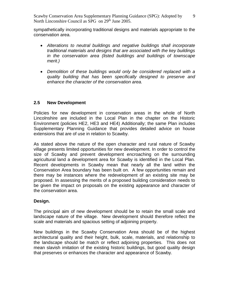sympathetically incorporating traditional designs and materials appropriate to the conservation area.

- *Alterations to neutral buildings and negative buildings shall incorporate traditional materials and designs that are associated with the key buildings in the conservation area (listed buildings and buildings of townscape merit.)*
- *Demolition of these buildings would only be considered replaced with a quality building that has been specifically designed to preserve and enhance the character of the conservation area.*

## **2.5 New Development**

Policies for new development in conservation areas in the whole of North Lincolnshire are included in the Local Plan in the chapter on the Historic Environment (policies HE2, HE3 and HE4) Additionally; the same Plan includes Supplementary Planning Guidance that provides detailed advice on house extensions that are of use in relation to Scawby.

As stated above the nature of the open character and rural nature of Scawby village presents limited opportunities for new development. In order to control the size of Scawby and prevent development encroaching on the surrounding agricultural land a development area for Scawby is identified in the Local Plan. Recent developments in Scawby mean that nearly all the land within the Conservation Area boundary has been built on. A few opportunities remain and there may be instances where the redevelopment of an existing site may be proposed. In assessing the merits of a proposed building consideration needs to be given the impact on proposals on the existing appearance and character of the conservation area.

#### **Design.**

The principal aim of new development should be to retain the small scale and landscape nature of the village. New development should therefore reflect the scale and materials and spacious setting of adjoining property.

New buildings in the Scawby Conservation Area should be of the highest architectural quality and their height, bulk, scale, materials, and relationship to the landscape should be match or reflect adjoining properties. This does not mean slavish imitation of the existing historic buildings, but good quality design that preserves or enhances the character and appearance of Scawby.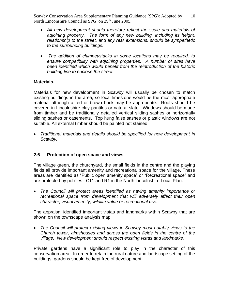- *All new development should therefore reflect the scale and materials of adjoining property. The form of any new building, including its height, relationship to the street, and any rear extensions, should be sympathetic to the surrounding buildings.*
- *The addition of chimneystacks in some locations may be required, to ensure compatibility with adjoining properties. A number of sites have been identified which would benefit from the reintroduction of the historic building line to enclose the street.*

## **Materials.**

Materials for new development in Scawby will usually be chosen to match existing buildings in the area, so local limestone would be the most appropriate material although a red or brown brick may be appropriate. Roofs should be covered in Lincolnshire clay pantiles or natural slate. Windows should be made from timber and be traditionally detailed vertical sliding sashes or horizontally sliding sashes or casements. Top hung false sashes or plastic windows are not suitable. All external timber should be painted not stained.

 *Traditional materials and details should be specified for new development in Scawby.* 

## **2.6 Protection of open space and views.**

The village green, the churchyard, the small fields in the centre and the playing fields all provide important amenity and recreational space for the village. These areas are identified as "Public open amenity space" or "Recreational space" and are protected by policies LC11 and R1 in the North Lincolnshire Local Plan.

 *The Council will protect areas identified as having amenity importance or recreational space from development that will adversely affect their open character, visual amenity, wildlife value or recreational use.*

The appraisal identified important vistas and landmarks within Scawby that are shown on the townscape analysis map.

 *The Council will protect existing views in Scawby most notably views to the Church tower, almshouses and across the open fields in the centre of the village. New development should respect existing vistas and landmarks.*

Private gardens have a significant role to play in the character of this conservation area. In order to retain the rural nature and landscape setting of the buildings, gardens should be kept free of development.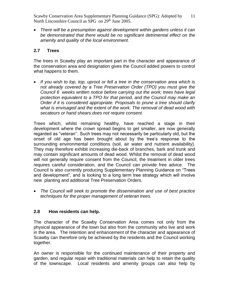*There will be a presumption against development within gardens unless it can be demonstrated that there would be no significant detrimental effect on the amenity and quality of the local environment.*

## **2.7 Trees**

The trees in Scawby play an important part in the character and appearance of the conservation area and designation gives the Council added powers to control what happens to them*.* 

 *If you wish to lop, top, uproot or fell a tree in the conservation area which is not already covered by a Tree Preservation Order (TPO) you must give the Council 6 weeks written notice before carrying out the work; trees have legal protection equivalent to a TPO for that period, and the Council may make an Order if it is considered appropriate. Proposals to prune a tree should clarify what is envisaged and the extent of the work. The removal of dead wood with secateurs or hand shears does not require consent.*

Trees which, whilst remaining healthy, have reached a stage in their development where the crown spread begins to get smaller, are now generally regarded as "veteran''. Such trees may not necessarily be particularly old, but the onset of old age has been brought about by the tree's response to the surrounding environmental conditions (soil, air water and nutrient availability). They may therefore exhibit increasing die-back of branches, bark and trunk and may contain significant amounts of dead wood. Whilst the removal of dead wood will not generally require consent from the Council, the treatment in older trees requires careful consideration, and the Council can provide free advice. The Council is also currently producing Supplementary Planning Guidance on "Trees and development", and is looking to a long term tree strategy which will involve new planting and additional Tree Preservation Orders.

 *The Council will seek to promote the dissemination and use of best practice techniques for the proper management of veteran trees.*

## **2.8 How residents can help.**

The character of the Scawby Conservation Area comes not only from the physical appearance of the town but also from the community who live and work in the area. The retention and enhancement of the character and appearance of Scawby can therefore only be achieved by the residents and the Council working together.

An owner is responsible for the continued maintenance of their property and garden, and regular repair with traditional materials can help to retain the quality of the townscape. Local residents and amenity groups can also help by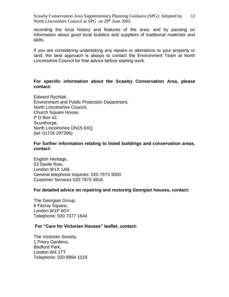recording the local history and features of the area, and by passing on information about good local builders and suppliers of traditional materials and skills.

If you are considering undertaking any repairs or alterations to your property or land, the best approach is always to contact the Environment Team at North Lincolnshire Council for free advice before starting work.

#### **For specific information about the Scawby Conservation Area, please contact:**

Edward Rychlak, Environment and Public Protection Department, North Lincolnshire Council, Church Square House, P O Box 42, Scunthorpe, North Lincolnshire DN15 6XQ (tel: 01726 297396)

**For further information relating to listed buildings and conservation areas, contact:**

English Heritage, 23 Savile Row, London W1X 1AB. General telephone inquiries: 020 7973 3000 Customer Services 020 7973 4916.

#### **For detailed advice on repairing and restoring Georgian houses, contact:**

The Georgian Group, 6 Fitzroy Square, London W1P 6DY. Telephone: 020 7377 1644

#### **For "Care for Victorian Houses" leaflet, contact:**

The Victorian Society, 1 Priory Gardens, Bedford Park, London W4 1TT Telephone: 020 8994 1019